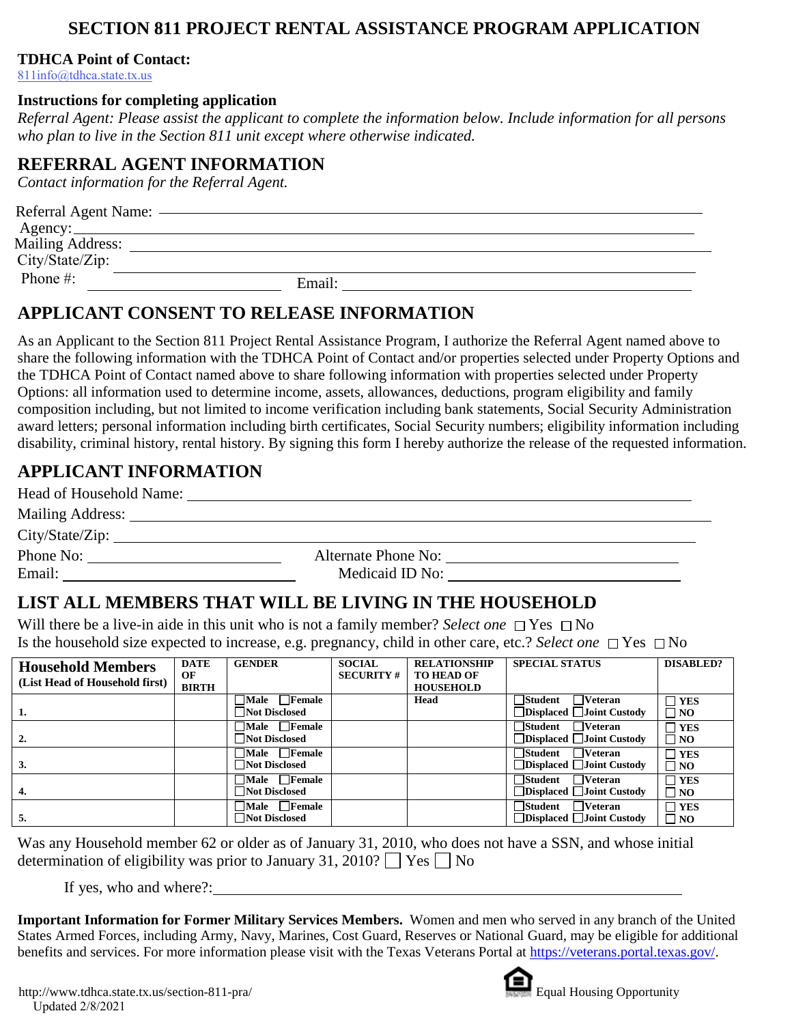## **SECTION 811 PROJECT RENTAL ASSISTANCE PROGRAM APPLICATION**

### **TDHCA Point of Contact:**

811info@tdhca.state.tx.us

#### **Instructions for completing application**

*Referral Agent: Please assist the applicant to complete the information below. Include information for all persons who plan to live in the Section 811 unit except where otherwise indicated.* 

### **REFERRAL AGENT INFORMATION**

*Contact information for the Referral Agent.* 

| Referral Agent Name:                       |        |
|--------------------------------------------|--------|
| <b>Mailing Address:</b><br>City/State/Zip: |        |
| Phone $#$ :                                | Email: |

### **APPLICANT CONSENT TO RELEASE INFORMATION**

As an Applicant to the Section 811 Project Rental Assistance Program, I authorize the Referral Agent named above to share the following information with the TDHCA Point of Contact and/or properties selected under Property Options and the TDHCA Point of Contact named above to share following information with properties selected under Property Options: all information used to determine income, assets, allowances, deductions, program eligibility and family composition including, but not limited to income verification including bank statements, Social Security Administration award letters; personal information including birth certificates, Social Security numbers; eligibility information including disability, criminal history, rental history. By signing this form I hereby authorize the release of the requested information.

# **APPLICANT INFORMATION**

| Head of Household Name:                                                                                                                                                                                                       |                     |
|-------------------------------------------------------------------------------------------------------------------------------------------------------------------------------------------------------------------------------|---------------------|
| Mailing Address: Universe of the Mailing Address of the Mailing Address of the Mailing of the Mailing of the Mailing of the Mailing of the Mailing of the Mailing of the Mailing of the Mailing of the Mailing of the Mailing |                     |
| City/State/Zip:                                                                                                                                                                                                               |                     |
| Phone No:                                                                                                                                                                                                                     | Alternate Phone No: |
| Email:                                                                                                                                                                                                                        | Medicaid ID No:     |

# **LIST ALL MEMBERS THAT WILL BE LIVING IN THE HOUSEHOLD**

Will there be a live-in aide in this unit who is not a family member? *Select one*  $\Box$  Yes  $\Box$  No Is the household size expected to increase, e.g. pregnancy, child in other care, etc.? *Select one*  $\Box$  Yes  $\Box$  No

| <b>Household Members</b><br>(List Head of Household first) | <b>DATE</b><br>OF<br><b>BIRTH</b> | <b>GENDER</b>                              | <b>SOCIAL</b><br><b>SECURITY#</b> | <b>RELATIONSHIP</b><br><b>TO HEAD OF</b><br><b>HOUSEHOLD</b> | <b>SPECIAL STATUS</b>                                                     | <b>DISABLED?</b>           |
|------------------------------------------------------------|-----------------------------------|--------------------------------------------|-----------------------------------|--------------------------------------------------------------|---------------------------------------------------------------------------|----------------------------|
| 1.                                                         |                                   | $\Box$ Male $\Box$ Female<br>Not Disclosed |                                   | Head                                                         | $\Box$ Student<br>$\Box$ Veteran<br>$\Box$ Displaced $\Box$ Joint Custody | $\neg$ YES<br>$\Box$ NO    |
| 2.                                                         |                                   | $\Box$ Male $\Box$ Female<br>Not Disclosed |                                   |                                                              | $\Box$ Student<br>$\Box$ Veteran<br>$\Box$ Displaced $\Box$ Joint Custody | $\sqcap$ YES<br>$\Box$ NO  |
| 3.                                                         |                                   | $\Box$ Male $\Box$ Female<br>Not Disclosed |                                   |                                                              | $\Box$ Student<br>$\Box$ Veteran<br>$\Box$ Displaced $\Box$ Joint Custody | $\neg$ YES<br>$\square$ NO |
| 4.                                                         |                                   | $\Box$ Male $\Box$ Female<br>Not Disclosed |                                   |                                                              | $\Box$ Student<br>$\Box$ Veteran<br>$\Box$ Displaced $\Box$ Joint Custody | $\sqcap$ YES<br>$\Box$ NO  |
| 5.                                                         |                                   | $\Box$ Male $\Box$ Female<br>Not Disclosed |                                   |                                                              | $\Box$ Student<br>$\Box$ Veteran<br>$\Box$ Displaced $\Box$ Joint Custody | $\neg$ YES<br>$\square$ NO |

Was any Household member 62 or older as of January 31, 2010, who does not have a SSN, and whose initial determination of eligibility was prior to January 31, 2010?  $\Box$  Yes  $\Box$  No

If yes, who and where?:

**Important Information for Former Military Services Members.** Women and men who served in any branch of the United States Armed Forces, including Army, Navy, Marines, Cost Guard, Reserves or National Guard, may be eligible for additional benefits and services. For more information please visit with the Texas Veterans Portal at https://veterans.portal.texas.gov/.

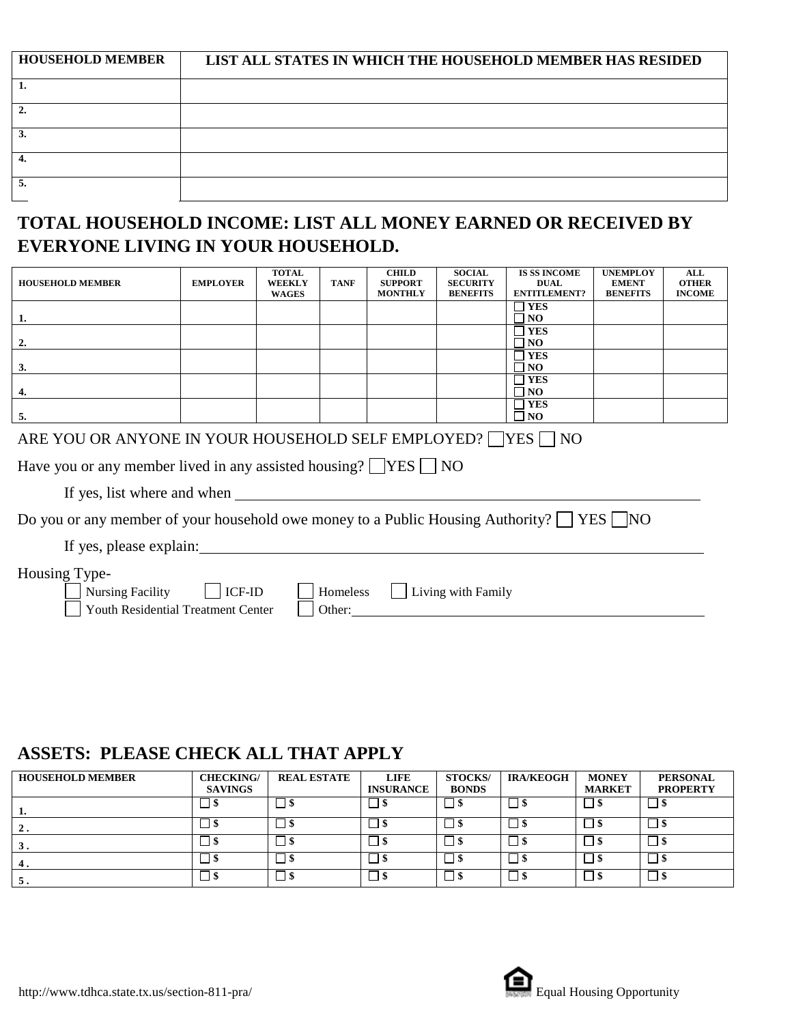| <b>HOUSEHOLD MEMBER</b> | LIST ALL STATES IN WHICH THE HOUSEHOLD MEMBER HAS RESIDED |
|-------------------------|-----------------------------------------------------------|
|                         |                                                           |
|                         |                                                           |
|                         |                                                           |
|                         |                                                           |
|                         |                                                           |

# **TOTAL HOUSEHOLD INCOME: LIST ALL MONEY EARNED OR RECEIVED BY EVERYONE LIVING IN YOUR HOUSEHOLD.**

| <b>HOUSEHOLD MEMBER</b>                                                                                                      | <b>EMPLOYER</b> | <b>TOTAL</b><br><b>WEEKLY</b><br><b>WAGES</b> | <b>TANF</b> | <b>CHILD</b><br><b>SUPPORT</b><br><b>MONTHLY</b> | <b>SOCIAL</b><br><b>SECURITY</b><br><b>BENEFITS</b> | <b>IS SS INCOME</b><br><b>DUAL</b><br><b>ENTITLEMENT?</b> | <b>UNEMPLOY</b><br><b>EMENT</b><br><b>BENEFITS</b> | <b>ALL</b><br><b>OTHER</b><br><b>INCOME</b> |
|------------------------------------------------------------------------------------------------------------------------------|-----------------|-----------------------------------------------|-------------|--------------------------------------------------|-----------------------------------------------------|-----------------------------------------------------------|----------------------------------------------------|---------------------------------------------|
| <u>1.</u>                                                                                                                    |                 |                                               |             |                                                  |                                                     | $\Box$ YES<br>$\neg$ NO                                   |                                                    |                                             |
| 2.                                                                                                                           |                 |                                               |             |                                                  |                                                     | $\neg$ yes<br>$\Box$ NO                                   |                                                    |                                             |
| 3.                                                                                                                           |                 |                                               |             |                                                  |                                                     | $\Box$ YES<br>$\neg$ NO                                   |                                                    |                                             |
| 4.                                                                                                                           |                 |                                               |             |                                                  |                                                     | $\Box$ YES<br>$\square$ NO                                |                                                    |                                             |
| 5.                                                                                                                           |                 |                                               |             |                                                  |                                                     | $\Box$ YES<br>$\Box$ NO                                   |                                                    |                                             |
| ARE YOU OR ANYONE IN YOUR HOUSEHOLD SELF EMPLOYED? YES NO                                                                    |                 |                                               |             |                                                  |                                                     |                                                           |                                                    |                                             |
| Have you or any member lived in any assisted housing? $ $  YES    NO                                                         |                 |                                               |             |                                                  |                                                     |                                                           |                                                    |                                             |
|                                                                                                                              |                 |                                               |             |                                                  |                                                     |                                                           |                                                    |                                             |
| Do you or any member of your household owe money to a Public Housing Authority? $\Box$ YES $\Box$ NO                         |                 |                                               |             |                                                  |                                                     |                                                           |                                                    |                                             |
| If yes, please explain:                                                                                                      |                 |                                               |             |                                                  |                                                     |                                                           |                                                    |                                             |
| Housing Type-<br>Nursing Facility   ICF-ID<br>Homeless<br>Living with Family<br>Youth Residential Treatment Center<br>Other: |                 |                                               |             |                                                  |                                                     |                                                           |                                                    |                                             |

## **ASSETS: PLEASE CHECK ALL THAT APPLY**

| <b>HOUSEHOLD MEMBER</b> | <b>CHECKING/</b><br><b>SAVINGS</b> | <b>REAL ESTATE</b> | <b>LIFE</b><br><b>INSURANCE</b> | <b>STOCKS/</b><br><b>BONDS</b> | <b>IRA/KEOGH</b> | <b>MONEY</b><br><b>MARKET</b> | <b>PERSONAL</b><br><b>PROPERTY</b> |
|-------------------------|------------------------------------|--------------------|---------------------------------|--------------------------------|------------------|-------------------------------|------------------------------------|
| . .                     | – ⊅                                | 1 S                | _⊥ ഴ                            | $\Box$ s                       | 1 S              | $\Box$ \$                     |                                    |
| 2.                      | _  \$                              | 1 S                | - 1.S                           | -18                            | l S              |                               |                                    |
| 3.                      | נצו                                | l S                | - 15                            | - \$                           | l S              |                               |                                    |
| 4.                      | נצו                                | l S                | - 18                            | - IS                           | l \$             | _। \$                         |                                    |
| э.                      | $\Box$ s                           | التا               | - 15                            | S                              | l S              |                               |                                    |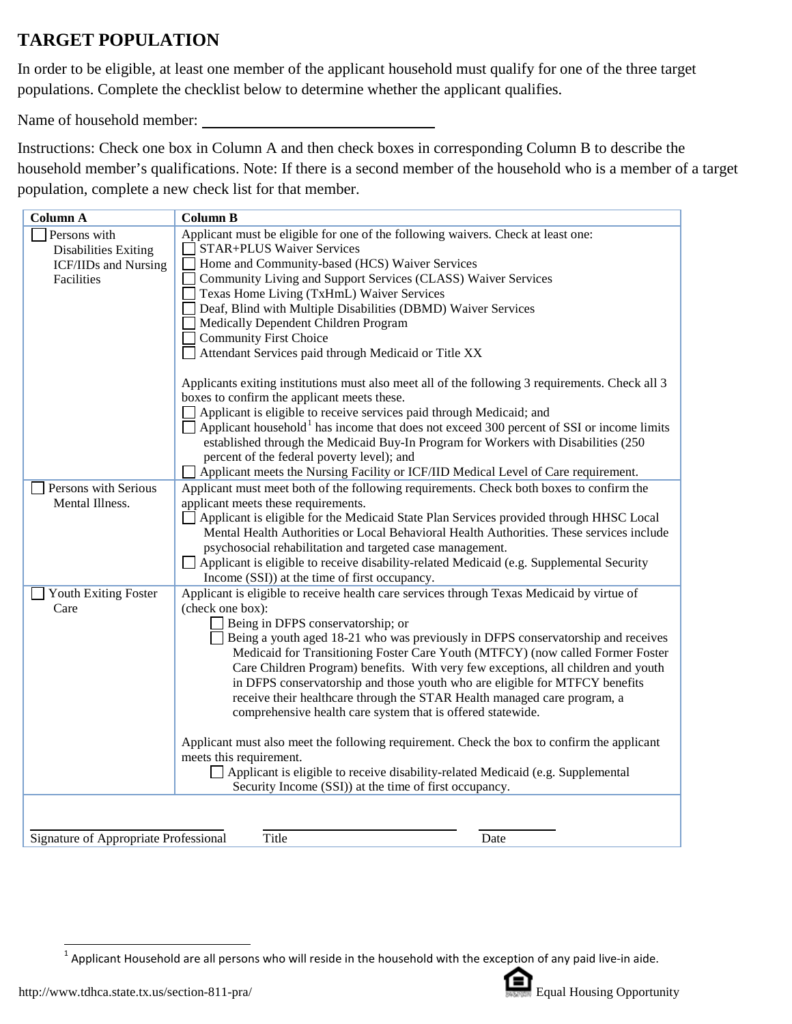# **TARGET POPULATION**

In order to be eligible, at least one member of the applicant household must qualify for one of the three target populations. Complete the checklist below to determine whether the applicant qualifies.

Name of household member:

Instructions: Check one box in Column A and then check boxes in corresponding Column B to describe the household member's qualifications. Note: If there is a second member of the household who is a member of a target population, complete a new check list for that member.

| <b>Column A</b>                       | <b>Column B</b>                                                                                      |
|---------------------------------------|------------------------------------------------------------------------------------------------------|
| Persons with                          | Applicant must be eligible for one of the following waivers. Check at least one:                     |
| <b>Disabilities Exiting</b>           | <b>STAR+PLUS Waiver Services</b>                                                                     |
| ICF/IIDs and Nursing                  | Home and Community-based (HCS) Waiver Services                                                       |
| Facilities                            | Community Living and Support Services (CLASS) Waiver Services                                        |
|                                       | Texas Home Living (TxHmL) Waiver Services                                                            |
|                                       | Deaf, Blind with Multiple Disabilities (DBMD) Waiver Services                                        |
|                                       | Medically Dependent Children Program                                                                 |
|                                       | <b>Community First Choice</b>                                                                        |
|                                       | Attendant Services paid through Medicaid or Title XX                                                 |
|                                       | Applicants exiting institutions must also meet all of the following 3 requirements. Check all 3      |
|                                       | boxes to confirm the applicant meets these.                                                          |
|                                       | Applicant is eligible to receive services paid through Medicaid; and                                 |
|                                       | Applicant household <sup>1</sup> has income that does not exceed 300 percent of SSI or income limits |
|                                       | established through the Medicaid Buy-In Program for Workers with Disabilities (250)                  |
|                                       | percent of the federal poverty level); and                                                           |
|                                       | Applicant meets the Nursing Facility or ICF/IID Medical Level of Care requirement.                   |
| Persons with Serious                  | Applicant must meet both of the following requirements. Check both boxes to confirm the              |
| Mental Illness.                       | applicant meets these requirements.                                                                  |
|                                       | Applicant is eligible for the Medicaid State Plan Services provided through HHSC Local               |
|                                       | Mental Health Authorities or Local Behavioral Health Authorities. These services include             |
|                                       | psychosocial rehabilitation and targeted case management.                                            |
|                                       | Applicant is eligible to receive disability-related Medicaid (e.g. Supplemental Security             |
|                                       | Income (SSI)) at the time of first occupancy.                                                        |
| Youth Exiting Foster                  | Applicant is eligible to receive health care services through Texas Medicaid by virtue of            |
| Care                                  | (check one box):                                                                                     |
|                                       | Being in DFPS conservatorship; or                                                                    |
|                                       | Being a youth aged 18-21 who was previously in DFPS conservatorship and receives                     |
|                                       | Medicaid for Transitioning Foster Care Youth (MTFCY) (now called Former Foster                       |
|                                       | Care Children Program) benefits. With very few exceptions, all children and youth                    |
|                                       | in DFPS conservatorship and those youth who are eligible for MTFCY benefits                          |
|                                       | receive their healthcare through the STAR Health managed care program, a                             |
|                                       | comprehensive health care system that is offered statewide.                                          |
|                                       | Applicant must also meet the following requirement. Check the box to confirm the applicant           |
|                                       | meets this requirement.                                                                              |
|                                       | Applicant is eligible to receive disability-related Medicaid (e.g. Supplemental                      |
|                                       | Security Income (SSI)) at the time of first occupancy.                                               |
|                                       |                                                                                                      |
|                                       |                                                                                                      |
| Signature of Appropriate Professional | Title<br>Date                                                                                        |
|                                       |                                                                                                      |



<span id="page-2-0"></span> $1$  Applicant Household are all persons who will reside in the household with the exception of any paid live-in aide.